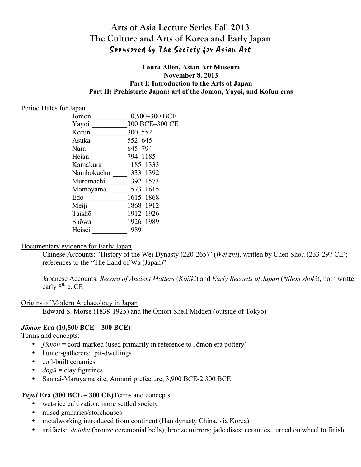# **Arts of Asia Lecture Series Fall 2013 The Culture and Arts of Korea and Early Japan** Sponsored by The Society for Asian Art

#### **Laura Allen, Asian Art Museum November 8, 2013 Part I: Introduction to the Arts of Japan Part II: Prehistoric Japan: art of the Jomon, Yayoi, and Kofun eras**

#### Period Dates for Japan

| Jomon      | 10,500-300 BCE |
|------------|----------------|
| Yayoi      | 300 BCE-300 CE |
| Kofun      | 300-552        |
| Asuka      | 552-645        |
| Nara       | 645-794        |
| Heian      | 794-1185       |
| Kamakura   | 1185-1333      |
| Nambokuchō | 1333-1392      |
| Muromachi  | 1392-1573      |
| Momoyama   | 1573-1615      |
| Edo        | 1615-1868      |
| Meiji      | 1868-1912      |
| Taishō     | 1912-1926      |
| Shōwa      | 1926-1989      |
| Heisei     | 1989-          |
|            |                |

#### Documentary evidence for Early Japan

Chinese Accounts: "History of the Wei Dynasty (220-265)" (*Wei zhi*), written by Chen Shou (233-297 CE); references to the "The Land of Wa (Japan)"

Japanese Accounts: *Record of Ancient Matters* (*Kojiki*) and *Early Records of Japan* (*Nihon shoki*), both written early  $8^{th}$  c. CE

#### Origins of Modern Archaeology in Japan

Edward S. Morse (1838-1925) and the Ōmori Shell Midden (outside of Tokyo)

## *Jōmon* **Era (10,500 BCE – 300 BCE)**

Terms and concepts:

- *jōmon* = cord-marked (used primarily in reference to Jōmon era pottery)
- hunter-gatherers; pit-dwellings
- coil-built ceramics
- *dogū* = clay figurines
- Sannai-Maruyama site, Aomori prefecture, 3,900 BCE-2,300 BCE

## *Yayoi* **Era (300 BCE – 300 CE)**Terms and concepts:

- wet-rice cultivation; more settled society
- raised granaries/storehouses
- metalworking introduced from continent (Han dynasty China, via Korea)
- artifacts: *dōtaku* (bronze ceremonial bells); bronze mirrors; jade discs; ceramics, turned on wheel to finish